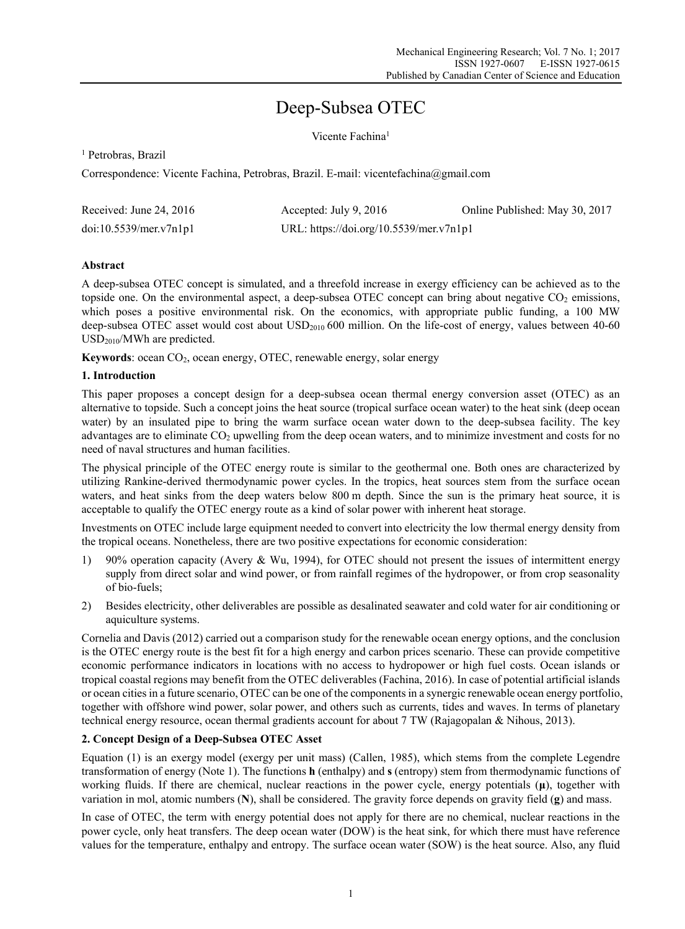# Deep-Subsea OTEC

Vicente Fachina<sup>1</sup>

<sup>1</sup> Petrobras, Brazil

Correspondence: Vicente Fachina, Petrobras, Brazil. E-mail: vicentefachina@gmail.com

| Received: June 24, $2016$ | Accepted: July 9, $2016$                | Online Published: May 30, 2017 |
|---------------------------|-----------------------------------------|--------------------------------|
| doi:10.5539/mer.v7n1p1    | URL: https://doi.org/10.5539/mer.v7n1p1 |                                |

# **Abstract**

A deep-subsea OTEC concept is simulated, and a threefold increase in exergy efficiency can be achieved as to the topside one. On the environmental aspect, a deep-subsea OTEC concept can bring about negative  $CO_2$  emissions, which poses a positive environmental risk. On the economics, with appropriate public funding, a 100 MW deep-subsea OTEC asset would cost about USD<sub>2010</sub> 600 million. On the life-cost of energy, values between 40-60 USD2010/MWh are predicted.

Keywords: ocean CO<sub>2</sub>, ocean energy, OTEC, renewable energy, solar energy

# **1. Introduction**

This paper proposes a concept design for a deep-subsea ocean thermal energy conversion asset (OTEC) as an alternative to topside. Such a concept joins the heat source (tropical surface ocean water) to the heat sink (deep ocean water) by an insulated pipe to bring the warm surface ocean water down to the deep-subsea facility. The key advantages are to eliminate  $CO<sub>2</sub>$  upwelling from the deep ocean waters, and to minimize investment and costs for no need of naval structures and human facilities.

The physical principle of the OTEC energy route is similar to the geothermal one. Both ones are characterized by utilizing Rankine-derived thermodynamic power cycles. In the tropics, heat sources stem from the surface ocean waters, and heat sinks from the deep waters below 800 m depth. Since the sun is the primary heat source, it is acceptable to qualify the OTEC energy route as a kind of solar power with inherent heat storage.

Investments on OTEC include large equipment needed to convert into electricity the low thermal energy density from the tropical oceans. Nonetheless, there are two positive expectations for economic consideration:

- 1) 90% operation capacity (Avery & Wu, 1994), for OTEC should not present the issues of intermittent energy supply from direct solar and wind power, or from rainfall regimes of the hydropower, or from crop seasonality of bio-fuels;
- 2) Besides electricity, other deliverables are possible as desalinated seawater and cold water for air conditioning or aquiculture systems.

Cornelia and Davis (2012) carried out a comparison study for the renewable ocean energy options, and the conclusion is the OTEC energy route is the best fit for a high energy and carbon prices scenario. These can provide competitive economic performance indicators in locations with no access to hydropower or high fuel costs. Ocean islands or tropical coastal regions may benefit from the OTEC deliverables (Fachina, 2016). In case of potential artificial islands or ocean cities in a future scenario, OTEC can be one of the components in a synergic renewable ocean energy portfolio, together with offshore wind power, solar power, and others such as currents, tides and waves. In terms of planetary technical energy resource, ocean thermal gradients account for about 7 TW (Rajagopalan & Nihous, 2013).

# **2. Concept Design of a Deep-Subsea OTEC Asset**

Equation (1) is an exergy model (exergy per unit mass) (Callen, 1985), which stems from the complete Legendre transformation of energy (Note 1). The functions **h** (enthalpy) and **s** (entropy) stem from thermodynamic functions of working fluids. If there are chemical, nuclear reactions in the power cycle, energy potentials (**μ**), together with variation in mol, atomic numbers (**N**), shall be considered. The gravity force depends on gravity field (**g**) and mass.

In case of OTEC, the term with energy potential does not apply for there are no chemical, nuclear reactions in the power cycle, only heat transfers. The deep ocean water (DOW) is the heat sink, for which there must have reference values for the temperature, enthalpy and entropy. The surface ocean water (SOW) is the heat source. Also, any fluid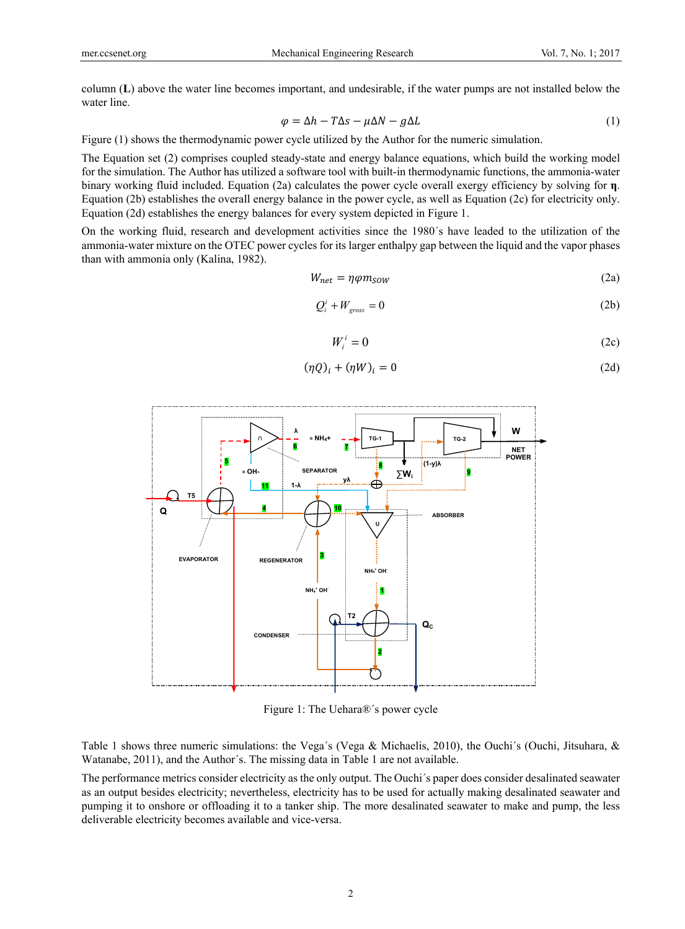column (**L**) above the water line becomes important, and undesirable, if the water pumps are not installed below the water line.

$$
\varphi = \Delta h - T\Delta s - \mu \Delta N - g\Delta L \tag{1}
$$

Figure (1) shows the thermodynamic power cycle utilized by the Author for the numeric simulation.

The Equation set (2) comprises coupled steady-state and energy balance equations, which build the working model for the simulation. The Author has utilized a software tool with built-in thermodynamic functions, the ammonia-water binary working fluid included. Equation (2a) calculates the power cycle overall exergy efficiency by solving for **η**. Equation (2b) establishes the overall energy balance in the power cycle, as well as Equation (2c) for electricity only. Equation (2d) establishes the energy balances for every system depicted in Figure 1.

On the working fluid, research and development activities since the 1980´s have leaded to the utilization of the ammonia-water mixture on the OTEC power cycles for its larger enthalpy gap between the liquid and the vapor phases than with ammonia only (Kalina, 1982).

$$
W_{net} = \eta \varphi m_{SOW} \tag{2a}
$$

$$
Q_i^i + W_{\text{gross}} = 0 \tag{2b}
$$

$$
W_i^i = 0 \tag{2c}
$$

$$
(\eta Q)_i + (\eta W)_i = 0 \tag{2d}
$$



Figure 1: The Uehara®´s power cycle

Table 1 shows three numeric simulations: the Vega´s (Vega & Michaelis, 2010), the Ouchi´s (Ouchi, Jitsuhara, & Watanabe, 2011), and the Author´s. The missing data in Table 1 are not available.

The performance metrics consider electricity as the only output. The Ouchi´s paper does consider desalinated seawater as an output besides electricity; nevertheless, electricity has to be used for actually making desalinated seawater and pumping it to onshore or offloading it to a tanker ship. The more desalinated seawater to make and pump, the less deliverable electricity becomes available and vice-versa.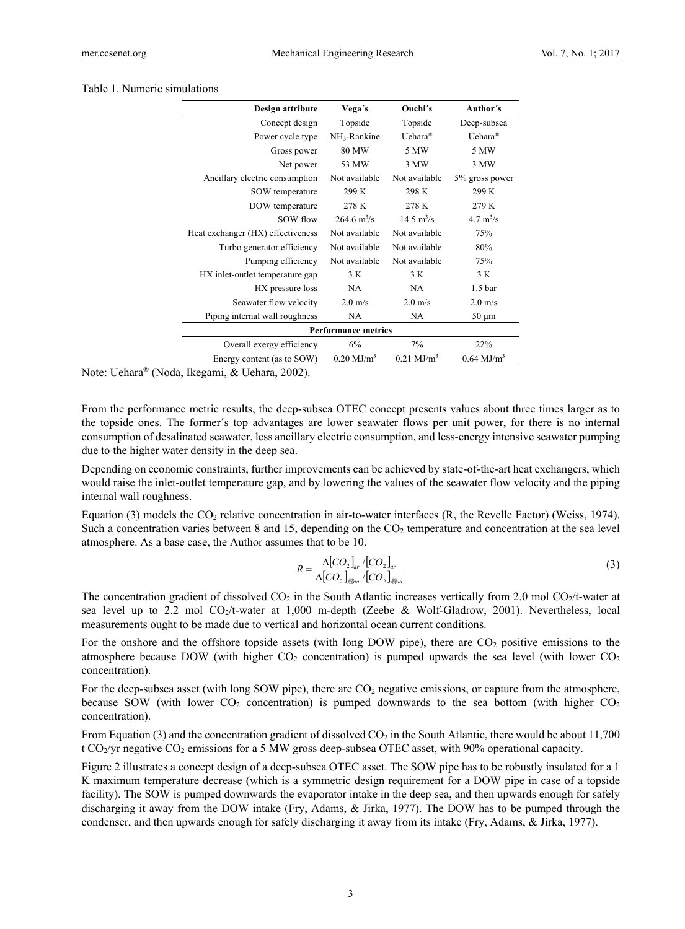#### Table 1. Numeric simulations

| Design attribute                  | Vega's                       | Ouchi's                     | Author's                   |  |
|-----------------------------------|------------------------------|-----------------------------|----------------------------|--|
| Concept design                    | Topside                      | Topside                     | Deep-subsea                |  |
| Power cycle type                  | NH <sub>3</sub> -Rankine     | Uehara <sup>®</sup>         | Uehara <sup>®</sup>        |  |
| Gross power                       | 80 MW                        | 5 MW                        | 5 MW                       |  |
| Net power                         | 53 MW                        | 3 MW                        | 3 MW                       |  |
| Ancillary electric consumption    | Not available                | Not available               | 5% gross power             |  |
| SOW temperature                   | 299 K                        | 298 K                       | 299 K                      |  |
| DOW temperature                   | 278 K                        | 278 K                       | 279 K                      |  |
| SOW flow                          | $264.6 \text{ m}^3/\text{s}$ | $14.5 \text{ m}^3/\text{s}$ | $4.7 \text{ m}^3/\text{s}$ |  |
| Heat exchanger (HX) effectiveness | Not available                | Not available               | 75%                        |  |
| Turbo generator efficiency        | Not available                | Not available               | 80%                        |  |
| Pumping efficiency                | Not available                | Not available               | 75%                        |  |
| HX inlet-outlet temperature gap   | 3 K                          | 3 K                         | 3 K                        |  |
| HX pressure loss                  | NA.                          | NA.                         | 1.5 <sub>bar</sub>         |  |
| Seawater flow velocity            | $2.0 \text{ m/s}$            | $2.0 \text{ m/s}$           | $2.0 \text{ m/s}$          |  |
| Piping internal wall roughness    | <b>NA</b>                    | <b>NA</b>                   | $50 \mu m$                 |  |
| <b>Performance metrics</b>        |                              |                             |                            |  |
| Overall exergy efficiency         | 6%                           | 7%                          | 22%                        |  |
| Energy content (as to SOW)        | $0.20 \text{ MJ/m}^3$        | $0.21 \text{ MJ/m}^3$       | $0.64 \text{ MJ/m}^3$      |  |

Note: Uehara® (Noda, Ikegami, & Uehara, 2002).

From the performance metric results, the deep-subsea OTEC concept presents values about three times larger as to the topside ones. The former´s top advantages are lower seawater flows per unit power, for there is no internal consumption of desalinated seawater, less ancillary electric consumption, and less-energy intensive seawater pumping due to the higher water density in the deep sea.

Depending on economic constraints, further improvements can be achieved by state-of-the-art heat exchangers, which would raise the inlet-outlet temperature gap, and by lowering the values of the seawater flow velocity and the piping internal wall roughness.

Equation (3) models the  $CO_2$  relative concentration in air-to-water interfaces (R, the Revelle Factor) (Weiss, 1974). Such a concentration varies between 8 and 15, depending on the  $CO<sub>2</sub>$  temperature and concentration at the sea level atmosphere. As a base case, the Author assumes that to be 10.

$$
R = \frac{\Delta [CO_2]_{ar} / [CO_2]_{ar}}{\Delta [CO_2]_{g\ddot{g}_{aa}} / [CO_2]_{gg\ddot{g}_{aa}}}
$$
(3)

The concentration gradient of dissolved  $CO_2$  in the South Atlantic increases vertically from 2.0 mol  $CO_2/t$ -water at sea level up to 2.2 mol CO<sub>2</sub>/t-water at 1,000 m-depth (Zeebe & Wolf-Gladrow, 2001). Nevertheless, local measurements ought to be made due to vertical and horizontal ocean current conditions.

For the onshore and the offshore topside assets (with long DOW pipe), there are  $CO<sub>2</sub>$  positive emissions to the atmosphere because DOW (with higher  $CO<sub>2</sub>$  concentration) is pumped upwards the sea level (with lower  $CO<sub>2</sub>$ concentration).

For the deep-subsea asset (with long SOW pipe), there are  $CO<sub>2</sub>$  negative emissions, or capture from the atmosphere, because SOW (with lower  $CO<sub>2</sub>$  concentration) is pumped downwards to the sea bottom (with higher  $CO<sub>2</sub>$ concentration).

From Equation (3) and the concentration gradient of dissolved  $CO<sub>2</sub>$  in the South Atlantic, there would be about 11,700 t CO<sub>2</sub>/yr negative CO<sub>2</sub> emissions for a 5 MW gross deep-subsea OTEC asset, with 90% operational capacity.

Figure 2 illustrates a concept design of a deep-subsea OTEC asset. The SOW pipe has to be robustly insulated for a 1 K maximum temperature decrease (which is a symmetric design requirement for a DOW pipe in case of a topside facility). The SOW is pumped downwards the evaporator intake in the deep sea, and then upwards enough for safely discharging it away from the DOW intake (Fry, Adams, & Jirka, 1977). The DOW has to be pumped through the condenser, and then upwards enough for safely discharging it away from its intake (Fry, Adams, & Jirka, 1977).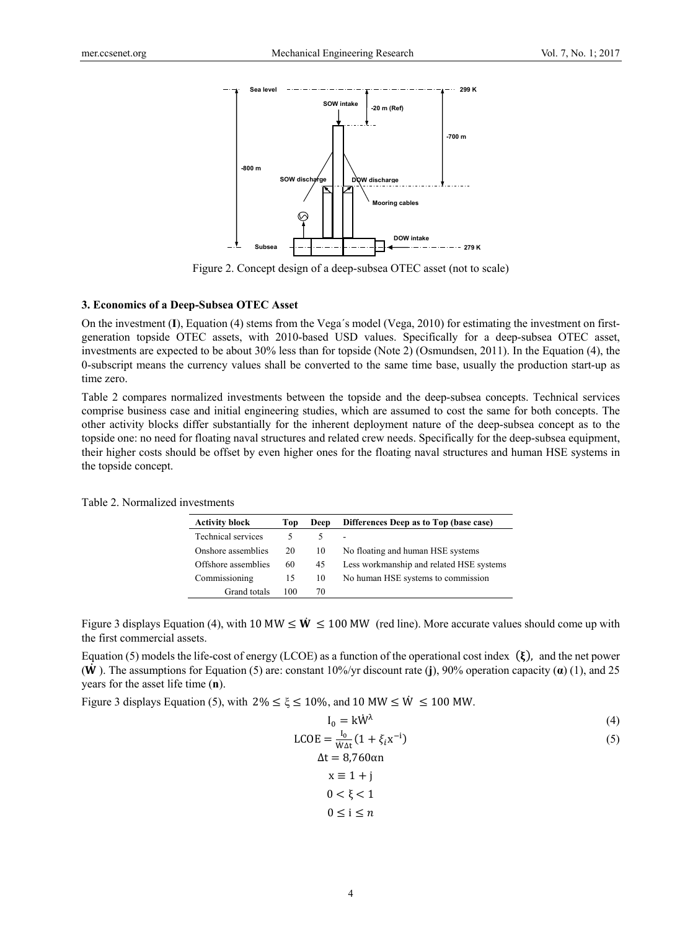

Figure 2. Concept design of a deep-subsea OTEC asset (not to scale)

#### **3. Economics of a Deep-Subsea OTEC Asset**

On the investment (**I**), Equation (4) stems from the Vega´s model (Vega, 2010) for estimating the investment on firstgeneration topside OTEC assets, with 2010-based USD values. Specifically for a deep-subsea OTEC asset, investments are expected to be about 30% less than for topside (Note 2) (Osmundsen, 2011). In the Equation (4), the 0-subscript means the currency values shall be converted to the same time base, usually the production start-up as time zero.

Table 2 compares normalized investments between the topside and the deep-subsea concepts. Technical services comprise business case and initial engineering studies, which are assumed to cost the same for both concepts. The other activity blocks differ substantially for the inherent deployment nature of the deep-subsea concept as to the topside one: no need for floating naval structures and related crew needs. Specifically for the deep-subsea equipment, their higher costs should be offset by even higher ones for the floating naval structures and human HSE systems in the topside concept.

| <b>Activity block</b> | Top | Deep | Differences Deep as to Top (base case)   |
|-----------------------|-----|------|------------------------------------------|
| Technical services    |     |      |                                          |
| Onshore assemblies    | 20  | 10   | No floating and human HSE systems        |
| Offshore assemblies   | 60  | 45   | Less workmanship and related HSE systems |
| Commissioning         | 15  | 10   | No human HSE systems to commission       |
| Grand totals          | 100 | 70   |                                          |

Table 2. Normalized investments

Figure 3 displays Equation (4), with 10 MW  $\leq W \leq 100$  MW (red line). More accurate values should come up with the first commercial assets.

Equation (5) models the life-cost of energy (LCOE) as a function of the operational cost index  $(\xi)$ , and the net power (܅ ሶ ). The assumptions for Equation (5) are: constant 10%/yr discount rate (**j**), 90% operation capacity (**α**) (1), and 25 years for the asset life time (**n**).

Figure 3 displays Equation (5), with  $2\% \le \xi \le 10\%$ , and 10 MW  $\le W \le 100$  MW.

$$
I_0 = k\dot{W}^\lambda \tag{4}
$$

$$
LCOE = \frac{I_0}{\dot{W}\Delta t} (1 + \xi_i x^{-i})
$$
  
 
$$
\Delta t = 8.760 \alpha n
$$
 (5)

$$
x \equiv 1 + j
$$
  

$$
0 < \xi < 1
$$
  

$$
0 \le i \le n
$$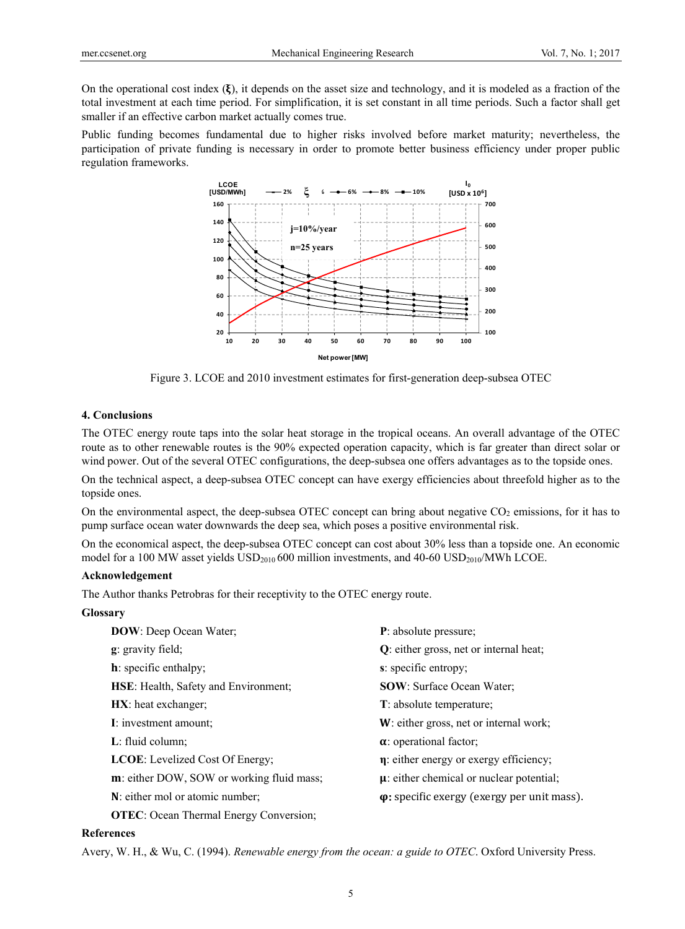On the operational cost index  $(\xi)$ , it depends on the asset size and technology, and it is modeled as a fraction of the total investment at each time period. For simplification, it is set constant in all time periods. Such a factor shall get smaller if an effective carbon market actually comes true.

Public funding becomes fundamental due to higher risks involved before market maturity; nevertheless, the participation of private funding is necessary in order to promote better business efficiency under proper public regulation frameworks.



Figure 3. LCOE and 2010 investment estimates for first-generation deep-subsea OTEC

### **4. Conclusions**

The OTEC energy route taps into the solar heat storage in the tropical oceans. An overall advantage of the OTEC route as to other renewable routes is the 90% expected operation capacity, which is far greater than direct solar or wind power. Out of the several OTEC configurations, the deep-subsea one offers advantages as to the topside ones.

On the technical aspect, a deep-subsea OTEC concept can have exergy efficiencies about threefold higher as to the topside ones.

On the environmental aspect, the deep-subsea OTEC concept can bring about negative  $CO<sub>2</sub>$  emissions, for it has to pump surface ocean water downwards the deep sea, which poses a positive environmental risk.

On the economical aspect, the deep-subsea OTEC concept can cost about 30% less than a topside one. An economic model for a 100 MW asset yields  $\text{USD}_{2010}$  600 million investments, and 40-60 USD<sub>2010</sub>/MWh LCOE.

## **Acknowledgement**

The Author thanks Petrobras for their receptivity to the OTEC energy route.

#### **Glossary**

| <b>DOW</b> : Deep Ocean Water;                    | P: absolute pressure;                               |
|---------------------------------------------------|-----------------------------------------------------|
| <b>g</b> : gravity field;                         | Q: either gross, net or internal heat;              |
| <b>h</b> : specific enthalpy;                     | s: specific entropy;                                |
| HSE: Health, Safety and Environment;              | <b>SOW</b> : Surface Ocean Water;                   |
| <b>HX</b> : heat exchanger;                       | T: absolute temperature;                            |
| I: investment amount:                             | W: either gross, net or internal work;              |
| $L:$ fluid column;                                | $\alpha$ : operational factor;                      |
| <b>LCOE:</b> Levelized Cost Of Energy;            | $\eta$ : either energy or exergy efficiency;        |
| <b>m</b> : either DOW, SOW or working fluid mass; | $\mu$ : either chemical or nuclear potential;       |
| N: either mol or atomic number;                   | $\varphi$ : specific exergy (exergy per unit mass). |
| <b>OTEC</b> : Ocean Thermal Energy Conversion;    |                                                     |

#### **References**

Avery, W. H., & Wu, C. (1994). *Renewable energy from the ocean: a guide to OTEC*. Oxford University Press.